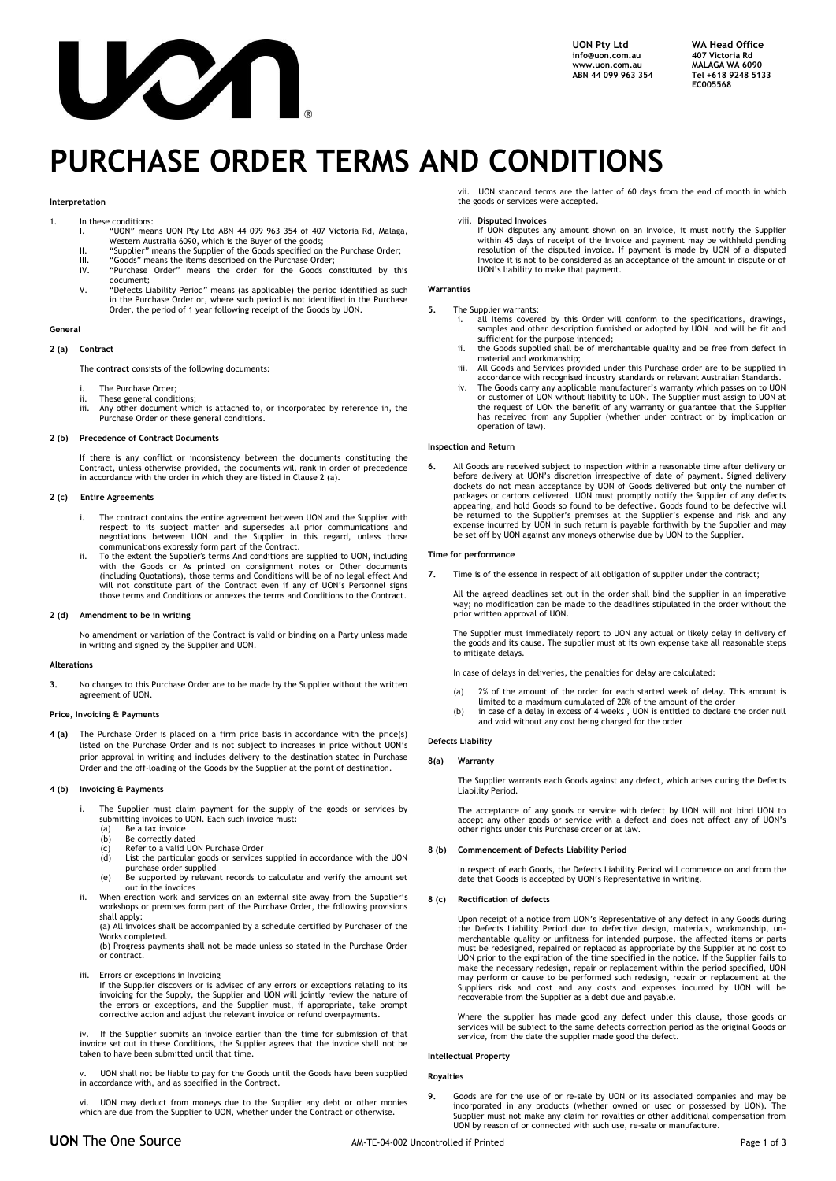

**UON Pty Ltd WA Head Office [info@uon.com.au](mailto:info@uon.com.au)**<br>www.uon.com.au **ABN 44 099 963 354 Tel +618 9248 5133**

**walaga WA 6090<br>Tel +618 9248 5133 EC005568**

# **PURCHASE ORDER TERMS AND CONDITIONS**

#### **Interpretation**

- 1. In these conditions:
	- I. "UON" means UON Pty Ltd ABN 44 099 963 354 of 407 Victoria Rd, Malaga, Western Australia 6090, which is the Buyer of the goods;
	- II. "Supplier" means the Supplier of the Goods specified on the Purchase Order;
	- III. "Goods" means the items described on the Purchase Order;<br>IIV. "Purchase Order" means the order for the Goods co IV. "Purchase Order" means the order for the Goods constituted by this
	- document; V. "Defects Liability Period" means (as applicable) the period identified as such in the Purchase Order or, where such period is not identified in the Purchase
		- Order, the period of 1 year following receipt of the Goods by UON.

# **General**

# **2 (a) Contract**

The **contract** consists of the following documents:

- The Purchase Order
- ii. These general conditions;<br>iii. Any other document whi If the experiment which is attached to, or incorporated by reference in, the Purchase Order or these general conditions.

#### **2 (b) Precedence of Contract Documents**

If there is any conflict or inconsistency between the documents constituting the Contract, unless otherwise provided, the documents will rank in order of precedence in accordance with the order in which they are listed in Clause 2 (a).

#### **2 (c) Entire Agreements**

- i. The contract contains the entire agreement between UON and the Supplier with respect to its subject matter and supersedes all prior communications and negotiations between UON and the Supplier in this regard, unless those communications expressly form part of the Contract.
- ii. To the extent the Supplier's terms And conditions are supplied to UON, including with the Goods or As printed on consignment notes or Other documents (including Quotations), those terms and Conditions will be of no legal effect And will not constitute part of the Contract even if any of UON's Personnel signs those terms and Conditions or annexes the terms and Conditions to the Contract.

#### **2 (d) Amendment to be in writing**

No amendment or variation of the Contract is valid or binding on a Party unless made in writing and signed by the Supplier and UON.

# **Alterations**

**3.** No changes to this Purchase Order are to be made by the Supplier without the written agreement of UON.

#### **Price, Invoicing & Payments**

**4 (a)** The Purchase Order is placed on a firm price basis in accordance with the price(s) listed on the Purchase Order and is not subject to increases in price without UON's prior approval in writing and includes delivery to the destination stated in Purchase Order and the off-loading of the Goods by the Supplier at the point of destination.

# **4 (b) Invoicing & Payments**

- i. The Supplier must claim payment for the supply of the goods or services by submitting invoices to UON. Each such invoice must:
	- (a) Be a tax invoice (b) Be correctly dated
	-
	- $(c)$  Refer to a valid UON Purchase Order (d) List the particular goods or services List the particular goods or services supplied in accordance with the UON purchase order supplied
	- (e) Be supported by relevant records to calculate and verify the amount set out in the invoices
- ii. When erection work and services on an external site away from the Supplier's workshops or premises form part of the Purchase Order, the following provisions shall apply: (a) All invoices shall be accompanied by a schedule certified by Purchaser of the

Works completed.

(b) Progress payments shall not be made unless so stated in the Purchase Order or contract.

- iii. Errors or exceptions in Invoicing
	- If the Supplier discovers or is advised of any errors or exceptions relating to its invoicing for the Supply, the Supplier and UON will jointly review the nature of the errors or exceptions, and the Supplier must, if appropriate, take prompt corrective action and adjust the relevant invoice or refund overpayments.

iv. If the Supplier submits an invoice earlier than the time for submission of that invoice set out in these Conditions, the Supplier agrees that the invoice shall not be taken to have been submitted until that time.

v. UON shall not be liable to pay for the Goods until the Goods have been supplied in accordance with, and as specified in the Contract.

UON may deduct from moneys due to the Supplier any debt or other monies which are due from the Supplier to UON, whether under the Contract or otherwise.

vii. UON standard terms are the latter of 60 days from the end of month in which the goods or services were accepted.

viii. **Disputed Invoices**

If UON disputes any amount shown on an Invoice, it must notify the Supplier within 45 days of receipt of the Invoice and payment may be withheld pending resolution of the disputed invoice. If payment is made by UON of a disputed Invoice it is not to be considered as an acceptance of the amount in dispute or of UON's liability to make that payment.

#### **Warranties**

# **5.** The Supplier warrants:

- i. all Items covered by this Order will conform to the specifications, drawings, samples and other description furnished or adopted by UON and will be fit and sufficient for the purpose intended;
- ii. the Goods supplied shall be of merchantable quality and be free from defect in material and workmanship;
- iii. All Goods and Services provided under this Purchase order are to be supplied in accordance with recognised industry standards or relevant Australian Standards.
- iv. The Goods carry any applicable manufacturer's warranty which passes on to UON or customer of UON without liability to UON. The Supplier must assign to UON at the request of UON the benefit of any warranty or guarantee that the Supplier has received from any Supplier (whether under contract or by implication or operation of law).

### **Inspection and Return**

6. All Goods are received subject to inspection within a reasonable time after delivery or before delivery at UON's discretion irrespective of date of payment. Signed delivery dockets do not mean acceptance by UON of Goods appearing, and hold Goods so found to be defective. Goods found to be defective will<br>be returned to the Supplier's premises at the Supplier's expense and risk and any<br>expense incurred by UON in such return is payable forth be set off by UON against any moneys otherwise due by UON to the Supplier.

# **Time for performance**

**7.** Time is of the essence in respect of all obligation of supplier under the contract;

All the agreed deadlines set out in the order shall bind the supplier in an imperative way; no modification can be made to the deadlines stipulated in the order without the prior written approval of UON.

The Supplier must immediately report to UON any actual or likely delay in delivery of the goods and its cause. The supplier must at its own expense take all reasonable steps to mitigate delays.

In case of delays in deliveries, the penalties for delay are calculated:

- (a) 2% of the amount of the order for each started week of delay. This amount is limited to a maximum cumulated of 20% of the amount of the order
- (b) in case of a delay in excess of 4 weeks , UON is entitled to declare the order null and void without any cost being charged for the order

# **Defects Liability**

# **8(a) Warranty**

The Supplier warrants each Goods against any defect, which arises during the Defects Liability Period.

The acceptance of any goods or service with defect by UON will not bind UON to accept any other goods or service with a defect and does not affect any of UON's other rights under this Purchase order or at law.

# **8 (b) Commencement of Defects Liability Period**

In respect of each Goods, the Defects Liability Period will commence on and from the date that Goods is accepted by UON's Representative in writing.

# **8 (c) Rectification of defects**

Upon receipt of a notice from UON's Representative of any defect in any Goods during<br>the Defects Liability Period due to defective design, materials, workmanship, un-<br>merchantable quality or unfitness for intended purpose, must be redesigned, repaired or replaced as appropriate by the Supplier at no cost to<br>UON prior to the expiration of the time specified in the notice. If the Supplier fails to<br>make the necessary redesign, repair or replace may perform or cause to be performed such redesign, repair or replacement at the Suppliers risk and cost and any costs and expenses incurred by UON will be recoverable from the Supplier as a debt due and payable.

Where the supplier has made good any defect under this clause, those goods or services will be subject to the same defects correction period as the original Goods or service, from the date the supplier made good the defect.

#### **Intellectual Property**

**Royalties**

**9.** Go*o*ds are for the use of or re-sale by UON or its associated companies and may be incorporated in any products (whether owned or used or possessed by UON). The Supplier must not make any claim for royalties or other additional compensation from UON by reason of or connected with such use, re-sale or manufacture.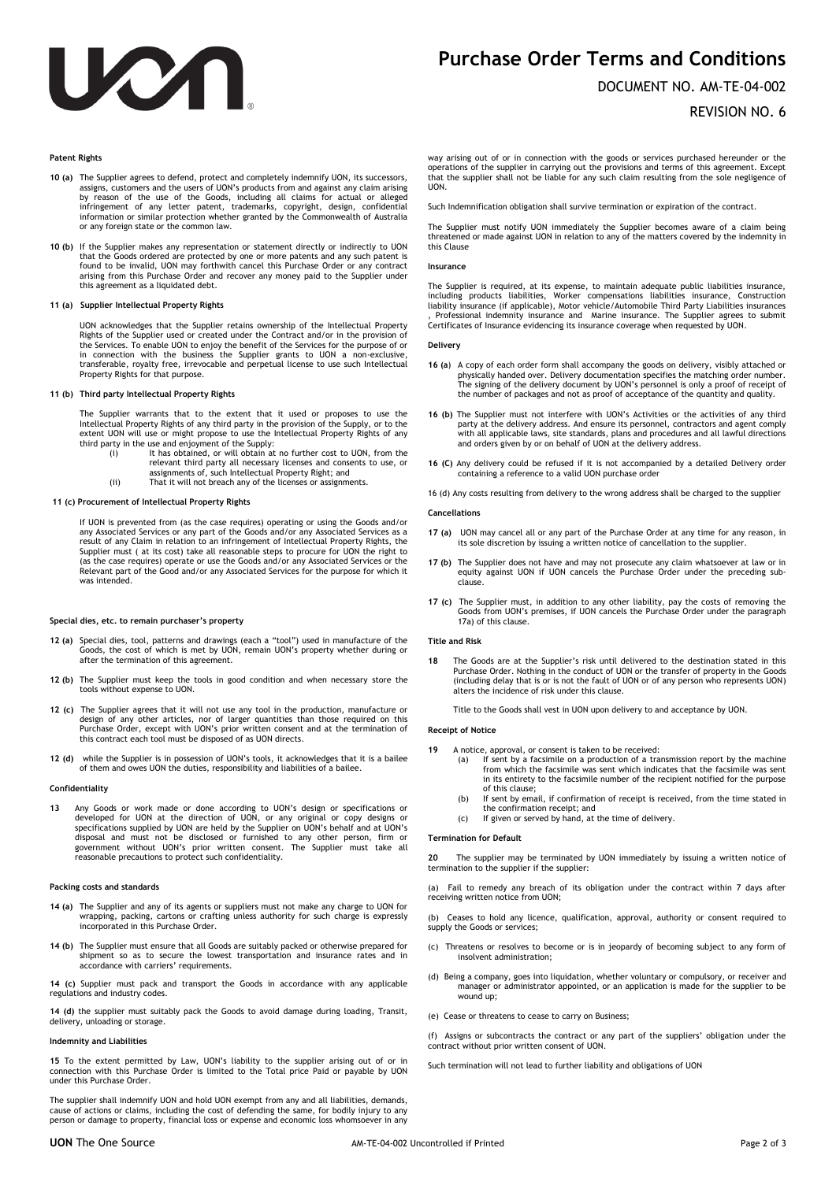

# **Purchase Order Terms and Conditions**

# DOCUMENT NO. AM-TE-04-002

# REVISION NO. 6

# **Patent Rights**

- **10 (a)** The Supplier agrees to defend, protect and completely indemnify UON, its successors, assigns, customers and the users of UON's products from and against any claim arising by reason of the use of the Goods, including all claims for actual or alleged infringement of any letter patent, trademarks, copyright, design, confidential information or similar protection whether granted by the Commonwealth of Australia or any foreign state or the common law.
- **10 (b)** If the Supplier makes any representation or statement directly or indirectly to UON that the Goods ordered are protected by one or more patents and any such patent is found to be invalid, UON may forthwith cancel this Purchase Order or any contract arising from this Purchase Order and recover any money paid to the Supplier under this agreement as a liquidated debt.

#### **11 (a) Supplier Intellectual Property Rights**

UON acknowledges that the Supplier retains ownership of the Intellectual Property Rights of the Supplier used or created under the Contract and/or in the provision of the Services. To enable UON to enjoy the benefit of the Services for the purpose of or in connection with the business the Supplier grants to UON a non-exclusive, transferable, royalty free, irrevocable and perpetual license to use such Intellectual Property Rights for that purpose.

# **11 (b) Third party Intellectual Property Rights**

The Supplier warrants that to the extent that it used or proposes to use the<br>Intellectual Property Rights of any third party in the provision of the Supply, or to the<br>extent UON will use or might propose to use the Intelle third party in the use and enjoyment of the Supply: (i) It has obtained, or will obtain at no further cost to UON, from the

- relevant third party all necessary licenses and consents to use, or assignments of, such Intellectual Property Right; and
- (ii) That it will not breach any of the licenses or assignments.

# **11 (c) Procurement of Intellectual Property Rights**

If UON is prevented from (as the case requires) operating or using the Goods and/or any Associated Services or any part of the Goods and/or any Associated Services as a result of any Claim in relation to an infringement of Intellectual Property Rights, the Supplier must ( at its cost) take all reasonable steps to procure for UON the right to (as the case requires) operate or use the Goods and/or any Associated Services or the Relevant part of the Good and/or any Associated Services for the purpose for which it was intended.

# **Special dies, etc. to remain purchaser's property**

- **12 (a)** Special dies, tool, patterns and drawings (each a "tool") used in manufacture of the Goods, the cost of which is met by UON, remain UON's property whether during or after the termination of this agreement.
- **12 (b)** The Supplier must keep the tools in good condition and when necessary store the tools without expense to UON.
- 12 (c) The Supplier agrees that it will not use any tool in the production, manufacture or<br>design of any other articles, nor of larger quantities than those required on this<br>Purchase Order, except with UON's prior written this contract each tool must be disposed of as UON directs.
- **12 (d)** while the Supplier is in possession of UON's tools, it acknowledges that it is a bailee of them and owes UON the duties, responsibility and liabilities of a bailee.

#### **Confidentiality**

**13** Any Goods or work made or done according to UON's design or specifications or developed for UON at the direction of UON, or any original or copy designs or<br>specifications supplied by UON are held by the Supplier on UON's behalf and at UON's<br>disposal and must not be disclosed or furnished to any othe

#### **Packing costs and standards**

- **14 (a)** The Supplier and any of its agents or suppliers must not make any charge to UON for wrapping, packing, cartons or crafting unless authority for such charge is expressly incorporated in this Purchase Order.
- **14 (b)** The Supplier must ensure that all Goods are suitably packed or otherwise prepared for shipment so as to secure the lowest transportation and insurance rates and in accordance with carriers' requirements.

**14 (c)** Supplier must pack and transport the Goods in accordance with any applicable regulations and industry codes.

**14 (d)** the supplier must suitably pack the Goods to avoid damage during loading, Transit, delivery, unloading or storage.

#### **Indemnity and Liabilities**

**15** To the extent permitted by Law, UON's liability to the supplier arising out of or in connection with this Purchase Order is limited to the Total price Paid or payable by UON under this Purchase Order.

The supplier shall indemnify UON and hold UON exempt from any and all liabilities, demands, cause of actions or claims, including the cost of defending the same, for bodily injury to any person or damage to property, financial loss or expense and economic loss whomsoever in any

way arising out of or in connection with the goods or services purchased hereunder or the operations of the supplier in carrying out the provisions and terms of this agreement. Except that the supplier shall not be liable for any such claim resulting from the sole negligence of **LION** 

Such Indemnification obligation shall survive termination or expiration of the contract.

The Supplier must notify UON immediately the Supplier becomes aware of a claim being threatened or made against UON in relation to any of the matters covered by the indemnity in this Clause

#### **Insurance**

The Supplier is required, at its expense, to maintain adequate public liabilities insurance, including products liabilities, Worker compensations liabilities insurance, Construction liability insurance (if applicable), Motor vehicle/Automobile Third Party Liabilities insurances , Professional indemnity insurance and Marine insurance. The Supplier agrees to submit Certificates of Insurance evidencing its insurance coverage when requested by UON.

#### **Delivery**

- **16 (a**) A copy of each order form shall accompany the goods on delivery, visibly attached or physically handed over. Delivery documentation specifies the matching order number. The signing of the delivery document by UON's personnel is only a proof of receipt of the number of packages and not as proof of acceptance of the quantity and quality.
- **16 (b)** The Supplier must not interfere with UON's Activities or the activities of any third party at the delivery address. And ensure its personnel, contractors and agent comply with all applicable laws, site standards, plans and procedures and all lawful directions and orders given by or on behalf of UON at the delivery address.
- **16 (C)** Any delivery could be refused if it is not accompanied by a detailed Delivery order containing a reference to a valid UON purchase order

16 (d) Any costs resulting from delivery to the wrong address shall be charged to the supplier

#### **Cancellations**

- **17 (a)** UON may cancel all or any part of the Purchase Order at any time for any reason, in its sole discretion by issuing a written notice of cancellation to the supplier.
- **17 (b)** The Supplier does not have and may not prosecute any claim whatsoever at law or in equity against UON if UON cancels the Purchase Order under the preceding subclause.
- **17 (c)** The Supplier must, in addition to any other liability, pay the costs of removing the Goods from UON's premises, if UON cancels the Purchase Order under the paragraph 17a) of this clause.

### **Title and Risk**

**18** The Goods are at the Supplier's risk until delivered to the destination stated in this Purchase Order. Nothing in the conduct of UON or the transfer of property in the Goods (including delay that is or is not the fault of UON or of any person who represents UON) alters the incidence of risk under this clause.

Title to the Goods shall vest in UON upon delivery to and acceptance by UON.

#### **Receipt of Notice**

- **19** A notice, approval, or consent is taken to be received:
	- (a) If sent by a facsimile on a production of a transmission report by the machine from which the facsimile was sent which indicates that the facsimile was sent in its entirety to the facsimile number of the recipient notified for the purpose of this clause;
	- (b) If sent by email, if confirmation of receipt is received, from the time stated in the confirmation receipt; and (c) If given or served by hand, at the time of delivery.
	-

### **Termination for Default**

**20** The supplier may be terminated by UON immediately by issuing a written notice of termination to the supplier if the supplier:

(a) Fail to remedy any breach of its obligation under the contract within 7 days after receiving written notice from UON;

(b) Ceases to hold any licence, qualification, approval, authority or consent required to supply the Goods or services:

- (c) Threatens or resolves to become or is in jeopardy of becoming subject to any form of insolvent administration;
- (d) Being a company, goes into liquidation, whether voluntary or compulsory, or receiver and manager or administrator appointed, or an application is made for the supplier to be wound up;
- (e) Cease or threatens to cease to carry on Business;
- (f) Assigns or subcontracts the contract or any part of the suppliers' obligation under the contract without prior written consent of UON.

Such termination will not lead to further liability and obligations of UON